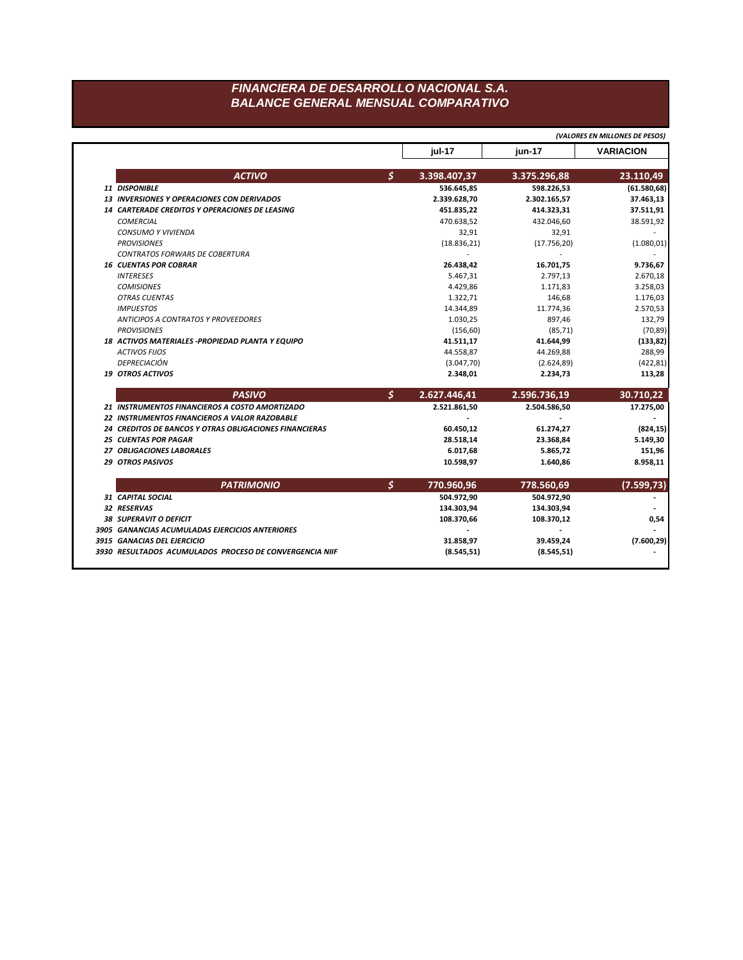## FINANCIERA DE DESARROLLO NACIONAL S.A. **BALANCE GENERAL MENSUAL COMPARATIVO**

|                                                         |    |              |              | (VALORES EN MILLONES DE PESOS) |
|---------------------------------------------------------|----|--------------|--------------|--------------------------------|
|                                                         |    | jul-17       | jun-17       | <b>VARIACION</b>               |
| <b>ACTIVO</b>                                           | Ś  | 3.398.407,37 | 3.375.296,88 | 23.110,49                      |
| 11 DISPONIBLE                                           |    | 536.645,85   | 598.226,53   | (61.580, 68)                   |
| <b>13 INVERSIONES Y OPERACIONES CON DERIVADOS</b>       |    | 2.339.628,70 | 2.302.165,57 | 37.463,13                      |
| <b>14 CARTERADE CREDITOS Y OPERACIONES DE LEASING</b>   |    | 451.835,22   | 414.323,31   | 37.511,91                      |
| <b>COMERCIAL</b>                                        |    | 470.638,52   | 432.046,60   | 38.591,92                      |
| <b>CONSUMO Y VIVIENDA</b>                               |    | 32,91        | 32,91        |                                |
| <b>PROVISIONES</b>                                      |    | (18.836, 21) | (17.756, 20) | (1.080, 01)                    |
| <b>CONTRATOS FORWARS DE COBERTURA</b>                   |    |              |              |                                |
| <b>16 CUENTAS POR COBRAR</b>                            |    | 26.438,42    | 16.701,75    | 9.736,67                       |
| <b>INTERESES</b>                                        |    | 5.467,31     | 2.797,13     | 2.670,18                       |
| <b>COMISIONES</b>                                       |    | 4.429,86     | 1.171,83     | 3.258,03                       |
| <b>OTRAS CUENTAS</b>                                    |    | 1.322,71     | 146,68       | 1.176,03                       |
| <b>IMPUESTOS</b>                                        |    | 14.344,89    | 11.774,36    | 2.570,53                       |
| <b>ANTICIPOS A CONTRATOS Y PROVEEDORES</b>              |    | 1.030,25     | 897,46       | 132,79                         |
| <b>PROVISIONES</b>                                      |    | (156, 60)    | (85, 71)     | (70, 89)                       |
| 18 ACTIVOS MATERIALES - PROPIEDAD PLANTA Y EQUIPO       |    | 41.511,17    | 41.644,99    | (133, 82)                      |
| <b>ACTIVOS FIJOS</b>                                    |    | 44.558,87    | 44.269,88    | 288,99                         |
| <b>DEPRECIACIÓN</b>                                     |    | (3.047, 70)  | (2.624, 89)  | (422, 81)                      |
| <b>19 OTROS ACTIVOS</b>                                 |    | 2.348,01     | 2.234,73     | 113,28                         |
| <b>PASIVO</b>                                           | \$ | 2.627.446,41 | 2.596.736,19 | 30.710,22                      |
| 21 INSTRUMENTOS FINANCIEROS A COSTO AMORTIZADO          |    | 2.521.861,50 | 2.504.586,50 | 17.275,00                      |
| 22 INSTRUMENTOS FINANCIEROS A VALOR RAZOBABLE           |    |              |              |                                |
| 24 CREDITOS DE BANCOS Y OTRAS OBLIGACIONES FINANCIERAS  |    | 60.450,12    | 61.274,27    | (824, 15)                      |
| <b>25 CUENTAS POR PAGAR</b>                             |    | 28.518,14    | 23.368,84    | 5.149,30                       |
| 27 OBLIGACIONES LABORALES                               |    | 6.017,68     | 5.865,72     | 151,96                         |
| <b>29 OTROS PASIVOS</b>                                 |    | 10.598,97    | 1.640,86     | 8.958,11                       |
| <b>PATRIMONIO</b>                                       | \$ | 770.960,96   | 778.560,69   | (7.599,73)                     |
| 31 CAPITAL SOCIAL                                       |    | 504.972,90   | 504.972,90   |                                |
| 32 RESERVAS                                             |    | 134.303,94   | 134.303,94   |                                |
| <b>38 SUPERAVIT O DEFICIT</b>                           |    | 108.370,66   | 108.370,12   | 0,54                           |
| 3905 GANANCIAS ACUMULADAS EJERCICIOS ANTERIORES         |    |              |              |                                |
| 3915 GANACIAS DEL EJERCICIO                             |    | 31.858,97    | 39.459,24    | (7.600, 29)                    |
| 3930 RESULTADOS ACUMULADOS PROCESO DE CONVERGENCIA NIIF |    | (8.545, 51)  | (8.545, 51)  |                                |
|                                                         |    |              |              |                                |